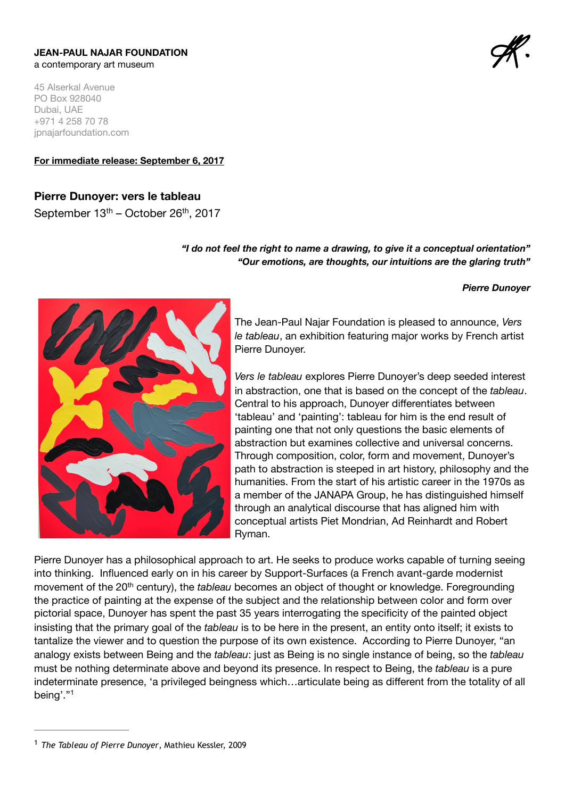#### **JEAN-PAUL NAJAR FOUNDATION**  a contemporary art museum

45 Alserkal Avenue PO Box 928040 Dubai, UAE +971 4 258 70 78 jpnajarfoundation.com

**For immediate release: September 6, 2017**

# **Pierre Dunoyer: vers le tableau**

September 13<sup>th</sup> – October 26<sup>th</sup>, 2017

### *"I do not feel the right to name a drawing, to give it a conceptual orientation" "Our emotions, are thoughts, our intuitions are the glaring truth"*

#### *Pierre Dunoyer*



The Jean-Paul Najar Foundation is pleased to announce, *Vers le tableau*, an exhibition featuring major works by French artist Pierre Dunoyer.

*Vers le tableau* explores Pierre Dunoyer's deep seeded interest in abstraction, one that is based on the concept of the *tableau*. Central to his approach, Dunoyer differentiates between 'tableau' and 'painting': tableau for him is the end result of painting one that not only questions the basic elements of abstraction but examines collective and universal concerns. Through composition, color, form and movement, Dunoyer's path to abstraction is steeped in art history, philosophy and the humanities. From the start of his artistic career in the 1970s as a member of the JANAPA Group, he has distinguished himself through an analytical discourse that has aligned him with conceptual artists Piet Mondrian, Ad Reinhardt and Robert Ryman.

Pierre Dunoyer has a philosophical approach to art. He seeks to produce works capable of turning seeing into thinking. Influenced early on in his career by Support-Surfaces (a French avant-garde modernist movement of the 20th century), the *tableau* becomes an object of thought or knowledge. Foregrounding the practice of painting at the expense of the subject and the relationship between color and form over pictorial space, Dunoyer has spent the past 35 years interrogating the specificity of the painted object insisting that the primary goal of the *tableau* is to be here in the present, an entity onto itself; it exists to tantalize the viewer and to question the purpose of its own existence. According to Pierre Dunoyer, "an analogy exists between Being and the *tableau*: just as Being is no single instance of being, so the *tableau* must be nothing determinate above and beyond its presence. In respect to Being, the *tableau* is a pure indeterminate presence, 'a privileged beingness which…articulate being as different from the totality of all being'."1

<sup>&</sup>lt;sup>1</sup> The Tableau of Pierre Dunoyer, Mathieu Kessler, 2009